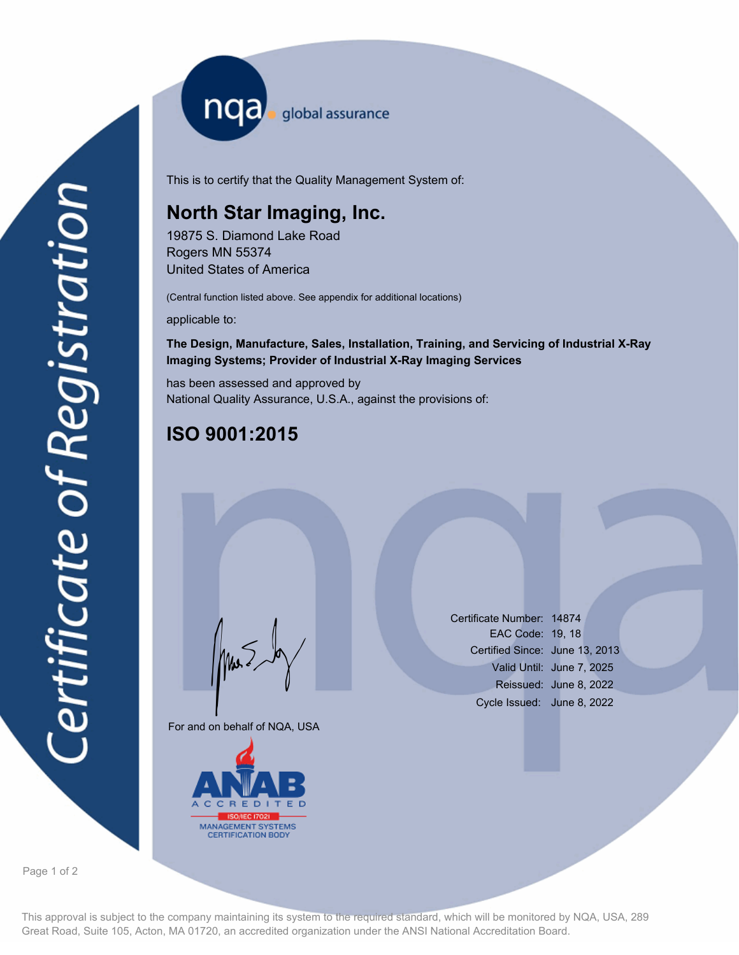nqa <sub>global</sub> assurance

This is to certify that the Quality Management System of:

# **North Star Imaging, Inc.**

19875 S. Diamond Lake Road Rogers MN 55374 United States of America

(Central function listed above. See appendix for additional locations)

applicable to:

## **The Design, Manufacture, Sales, Installation, Training, and Servicing of Industrial X-Ray Imaging Systems; Provider of Industrial X-Ray Imaging Services**

has been assessed and approved by National Quality Assurance, U.S.A., against the provisions of:

## **ISO 9001:2015**

For and on behalf of NQA, USA

Mus



Certificate Number: 14874 EAC Code: 19, 18 Certified Since: June 13, 2013 Valid Until: June 7, 2025 Reissued: June 8, 2022 Cycle Issued: June 8, 2022

Page 1 of 2

This approval is subject to the company maintaining its system to the required standard, which will be monitored by NQA, USA, 289 Great Road, Suite 105, Acton, MA 01720, an accredited organization under the ANSI National Accreditation Board.